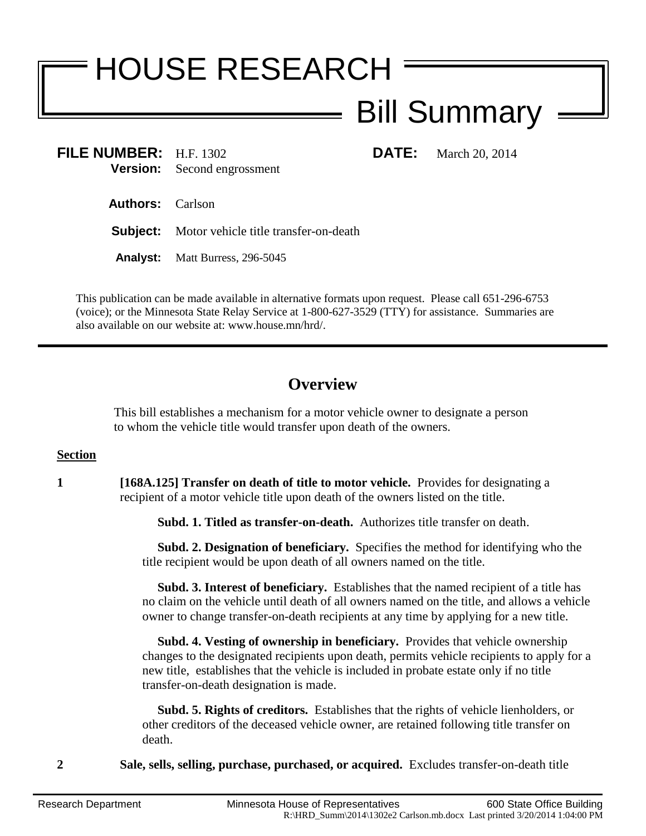# HOUSE RESEARCH

# Bill Summary

**FILE NUMBER:** H.F. 1302 **DATE:** March 20, 2014 **Version:** Second engrossment

**Authors:** Carlson

**Subject:** Motor vehicle title transfer-on-death

**Analyst:** Matt Burress, 296-5045

This publication can be made available in alternative formats upon request. Please call 651-296-6753 (voice); or the Minnesota State Relay Service at 1-800-627-3529 (TTY) for assistance. Summaries are also available on our website at: www.house.mn/hrd/.

## **Overview**

This bill establishes a mechanism for a motor vehicle owner to designate a person to whom the vehicle title would transfer upon death of the owners.

#### **Section**

**1 [168A.125] Transfer on death of title to motor vehicle.** Provides for designating a recipient of a motor vehicle title upon death of the owners listed on the title.

**Subd. 1. Titled as transfer-on-death.** Authorizes title transfer on death.

 **Subd. 2. Designation of beneficiary.** Specifies the method for identifying who the title recipient would be upon death of all owners named on the title.

 **Subd. 3. Interest of beneficiary.** Establishes that the named recipient of a title has no claim on the vehicle until death of all owners named on the title, and allows a vehicle owner to change transfer-on-death recipients at any time by applying for a new title.

 **Subd. 4. Vesting of ownership in beneficiary.** Provides that vehicle ownership changes to the designated recipients upon death, permits vehicle recipients to apply for a new title, establishes that the vehicle is included in probate estate only if no title transfer-on-death designation is made.

 **Subd. 5. Rights of creditors.** Establishes that the rights of vehicle lienholders, or other creditors of the deceased vehicle owner, are retained following title transfer on death.

**2 Sale, sells, selling, purchase, purchased, or acquired.** Excludes transfer-on-death title